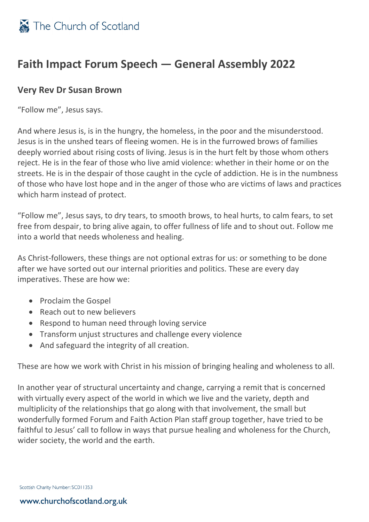## **Faith Impact Forum Speech — General Assembly 2022**

## **Very Rev Dr Susan Brown**

"Follow me", Jesus says.

And where Jesus is, is in the hungry, the homeless, in the poor and the misunderstood. Jesus is in the unshed tears of fleeing women. He is in the furrowed brows of families deeply worried about rising costs of living. Jesus is in the hurt felt by those whom others reject. He is in the fear of those who live amid violence: whether in their home or on the streets. He is in the despair of those caught in the cycle of addiction. He is in the numbness of those who have lost hope and in the anger of those who are victims of laws and practices which harm instead of protect.

"Follow me", Jesus says, to dry tears, to smooth brows, to heal hurts, to calm fears, to set free from despair, to bring alive again, to offer fullness of life and to shout out. Follow me into a world that needs wholeness and healing.

As Christ-followers, these things are not optional extras for us: or something to be done after we have sorted out our internal priorities and politics. These are every day imperatives. These are how we:

- Proclaim the Gospel
- Reach out to new believers
- Respond to human need through loving service
- Transform unjust structures and challenge every violence
- And safeguard the integrity of all creation.

These are how we work with Christ in his mission of bringing healing and wholeness to all.

In another year of structural uncertainty and change, carrying a remit that is concerned with virtually every aspect of the world in which we live and the variety, depth and multiplicity of the relationships that go along with that involvement, the small but wonderfully formed Forum and Faith Action Plan staff group together, have tried to be faithful to Jesus' call to follow in ways that pursue healing and wholeness for the Church, wider society, the world and the earth.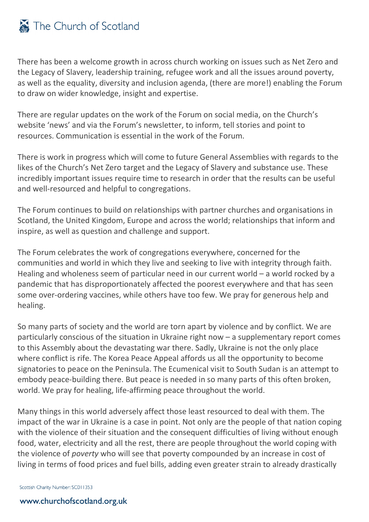## The Church of Scotland

There has been a welcome growth in across church working on issues such as Net Zero and the Legacy of Slavery, leadership training, refugee work and all the issues around poverty, as well as the equality, diversity and inclusion agenda, (there are more!) enabling the Forum to draw on wider knowledge, insight and expertise.

There are regular updates on the work of the Forum on social media, on the Church's website 'news' and via the Forum's newsletter, to inform, tell stories and point to resources. Communication is essential in the work of the Forum.

There is work in progress which will come to future General Assemblies with regards to the likes of the Church's Net Zero target and the Legacy of Slavery and substance use. These incredibly important issues require time to research in order that the results can be useful and well-resourced and helpful to congregations.

The Forum continues to build on relationships with partner churches and organisations in Scotland, the United Kingdom, Europe and across the world; relationships that inform and inspire, as well as question and challenge and support.

The Forum celebrates the work of congregations everywhere, concerned for the communities and world in which they live and seeking to live with integrity through faith. Healing and wholeness seem of particular need in our current world – a world rocked by a pandemic that has disproportionately affected the poorest everywhere and that has seen some over-ordering vaccines, while others have too few. We pray for generous help and healing.

So many parts of society and the world are torn apart by violence and by conflict. We are particularly conscious of the situation in Ukraine right now – a supplementary report comes to this Assembly about the devastating war there. Sadly, Ukraine is not the only place where conflict is rife. The Korea Peace Appeal affords us all the opportunity to become signatories to peace on the Peninsula. The Ecumenical visit to South Sudan is an attempt to embody peace-building there. But peace is needed in so many parts of this often broken, world. We pray for healing, life-affirming peace throughout the world.

Many things in this world adversely affect those least resourced to deal with them. The impact of the war in Ukraine is a case in point. Not only are the people of that nation coping with the violence of their situation and the consequent difficulties of living without enough food, water, electricity and all the rest, there are people throughout the world coping with the violence of *poverty* who will see that poverty compounded by an increase in cost of living in terms of food prices and fuel bills, adding even greater strain to already drastically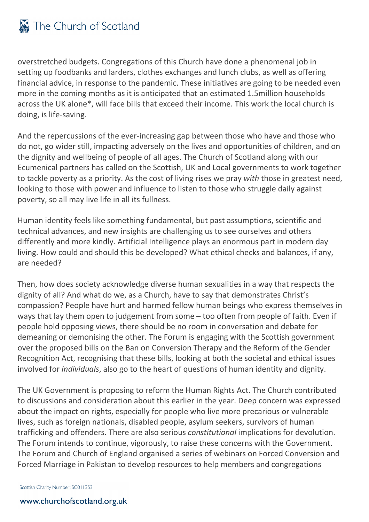overstretched budgets. Congregations of this Church have done a phenomenal job in setting up foodbanks and larders, clothes exchanges and lunch clubs, as well as offering financial advice, in response to the pandemic. These initiatives are going to be needed even more in the coming months as it is anticipated that an estimated 1.5million households across the UK alone\*, will face bills that exceed their income. This work the local church is doing, is life-saving.

And the repercussions of the ever-increasing gap between those who have and those who do not, go wider still, impacting adversely on the lives and opportunities of children, and on the dignity and wellbeing of people of all ages. The Church of Scotland along with our Ecumenical partners has called on the Scottish, UK and Local governments to work together to tackle poverty as a priority. As the cost of living rises we pray *with* those in greatest need, looking to those with power and influence to listen to those who struggle daily against poverty, so all may live life in all its fullness.

Human identity feels like something fundamental, but past assumptions, scientific and technical advances, and new insights are challenging us to see ourselves and others differently and more kindly. Artificial Intelligence plays an enormous part in modern day living. How could and should this be developed? What ethical checks and balances, if any, are needed?

Then, how does society acknowledge diverse human sexualities in a way that respects the dignity of all? And what do we, as a Church, have to say that demonstrates Christ's compassion? People have hurt and harmed fellow human beings who express themselves in ways that lay them open to judgement from some – too often from people of faith. Even if people hold opposing views, there should be no room in conversation and debate for demeaning or demonising the other. The Forum is engaging with the Scottish government over the proposed bills on the Ban on Conversion Therapy and the Reform of the Gender Recognition Act, recognising that these bills, looking at both the societal and ethical issues involved for *individuals*, also go to the heart of questions of human identity and dignity.

The UK Government is proposing to reform the Human Rights Act. The Church contributed to discussions and consideration about this earlier in the year. Deep concern was expressed about the impact on rights, especially for people who live more precarious or vulnerable lives, such as foreign nationals, disabled people, asylum seekers, survivors of human trafficking and offenders. There are also serious *constitutional* implications for devolution. The Forum intends to continue, vigorously, to raise these concerns with the Government. The Forum and Church of England organised a series of webinars on Forced Conversion and Forced Marriage in Pakistan to develop resources to help members and congregations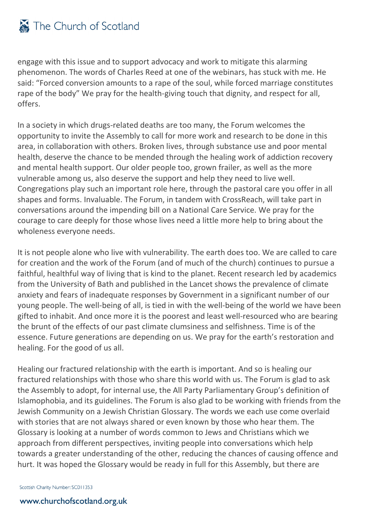engage with this issue and to support advocacy and work to mitigate this alarming phenomenon. The words of Charles Reed at one of the webinars, has stuck with me. He said: "Forced conversion amounts to a rape of the soul, while forced marriage constitutes rape of the body" We pray for the health-giving touch that dignity, and respect for all, offers.

In a society in which drugs-related deaths are too many, the Forum welcomes the opportunity to invite the Assembly to call for more work and research to be done in this area, in collaboration with others. Broken lives, through substance use and poor mental health, deserve the chance to be mended through the healing work of addiction recovery and mental health support. Our older people too, grown frailer, as well as the more vulnerable among us, also deserve the support and help they need to live well. Congregations play such an important role here, through the pastoral care you offer in all shapes and forms. Invaluable. The Forum, in tandem with CrossReach, will take part in conversations around the impending bill on a National Care Service. We pray for the courage to care deeply for those whose lives need a little more help to bring about the wholeness everyone needs.

It is not people alone who live with vulnerability. The earth does too. We are called to care for creation and the work of the Forum (and of much of the church) continues to pursue a faithful, healthful way of living that is kind to the planet. Recent research led by academics from the University of Bath and published in the Lancet shows the prevalence of climate anxiety and fears of inadequate responses by Government in a significant number of our young people. The well-being of all, is tied in with the well-being of the world we have been gifted to inhabit. And once more it is the poorest and least well-resourced who are bearing the brunt of the effects of our past climate clumsiness and selfishness. Time is of the essence. Future generations are depending on us. We pray for the earth's restoration and healing. For the good of us all.

Healing our fractured relationship with the earth is important. And so is healing our fractured relationships with those who share this world with us. The Forum is glad to ask the Assembly to adopt, for internal use, the All Party Parliamentary Group's definition of Islamophobia, and its guidelines. The Forum is also glad to be working with friends from the Jewish Community on a Jewish Christian Glossary. The words we each use come overlaid with stories that are not always shared or even known by those who hear them. The Glossary is looking at a number of words common to Jews and Christians which we approach from different perspectives, inviting people into conversations which help towards a greater understanding of the other, reducing the chances of causing offence and hurt. It was hoped the Glossary would be ready in full for this Assembly, but there are